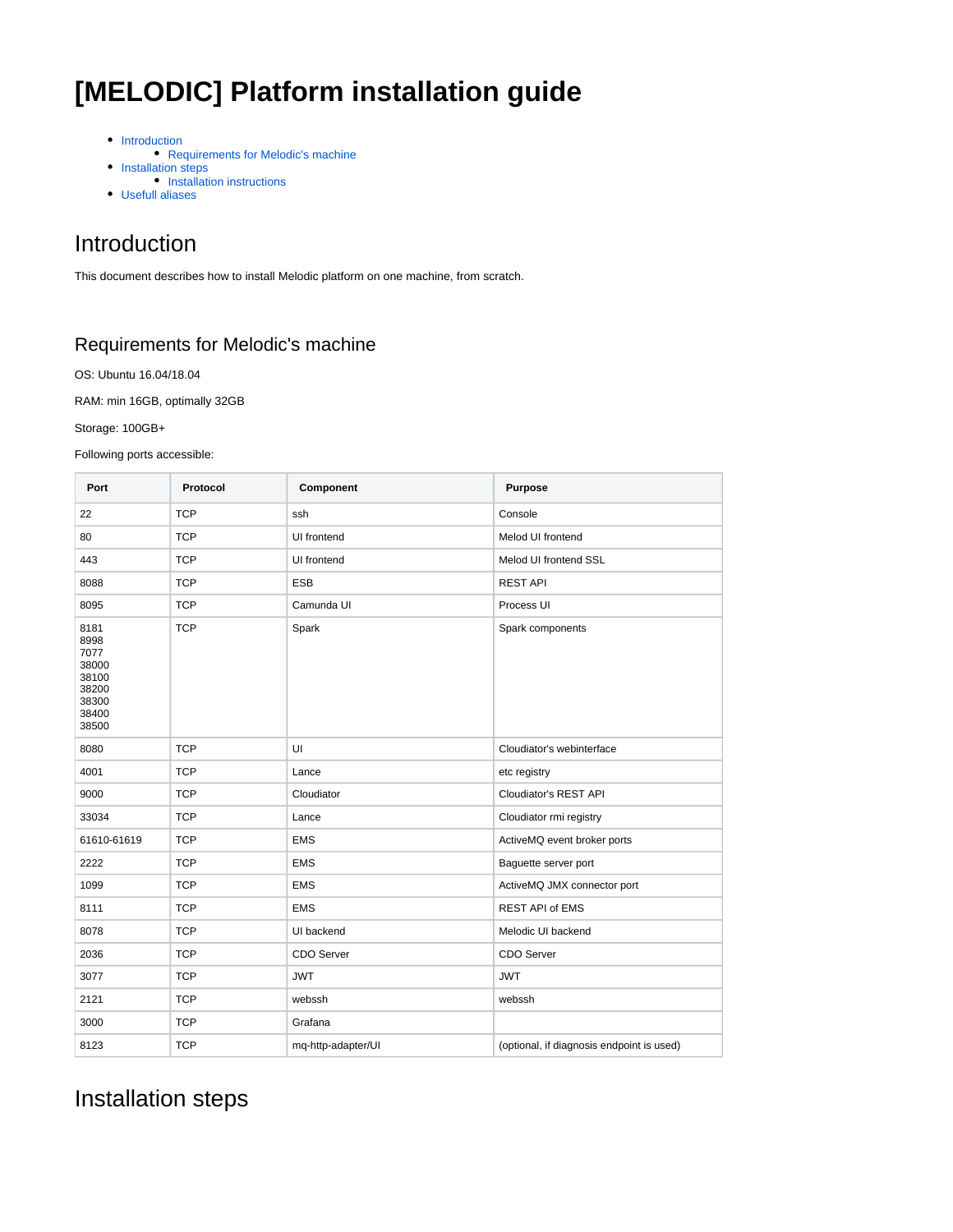# **[MELODIC] Platform installation guide**

- [Introduction](#page-0-0)
- [Requirements for Melodic's machine](#page-0-1)
- [Installation steps](#page-0-2)
- [Installation instructions](#page-1-0)
- [Usefull aliases](#page-2-0)

### <span id="page-0-0"></span>Introduction

This document describes how to install Melodic platform on one machine, from scratch.

#### <span id="page-0-1"></span>Requirements for Melodic's machine

OS: Ubuntu 16.04/18.04

RAM: min 16GB, optimally 32GB

Storage: 100GB+

Following ports accessible:

| Port                                                                       | Protocol   | Component          | Purpose                                   |  |
|----------------------------------------------------------------------------|------------|--------------------|-------------------------------------------|--|
| 22                                                                         | <b>TCP</b> | ssh                | Console                                   |  |
| 80                                                                         | <b>TCP</b> | UI frontend        | Melod UI frontend                         |  |
| 443                                                                        | <b>TCP</b> | UI frontend        | Melod UI frontend SSL                     |  |
| 8088                                                                       | <b>TCP</b> | <b>ESB</b>         | <b>REST API</b>                           |  |
| 8095                                                                       | <b>TCP</b> | Camunda UI         | Process UI                                |  |
| 8181<br>8998<br>7077<br>38000<br>38100<br>38200<br>38300<br>38400<br>38500 | <b>TCP</b> | Spark              | Spark components                          |  |
| 8080                                                                       | <b>TCP</b> | UI                 | Cloudiator's webinterface                 |  |
| 4001                                                                       | <b>TCP</b> | Lance              | etc registry                              |  |
| 9000                                                                       | <b>TCP</b> | Cloudiator         | Cloudiator's REST API                     |  |
| 33034                                                                      | <b>TCP</b> | Lance              | Cloudiator rmi registry                   |  |
| 61610-61619                                                                | <b>TCP</b> | <b>EMS</b>         | ActiveMQ event broker ports               |  |
| 2222                                                                       | <b>TCP</b> | <b>EMS</b>         | Baguette server port                      |  |
| 1099                                                                       | <b>TCP</b> | <b>EMS</b>         | ActiveMQ JMX connector port               |  |
| 8111                                                                       | <b>TCP</b> | <b>EMS</b>         | <b>REST API of EMS</b>                    |  |
| 8078                                                                       | <b>TCP</b> | UI backend         | Melodic UI backend                        |  |
| 2036                                                                       | <b>TCP</b> | CDO Server         | CDO Server                                |  |
| 3077                                                                       | <b>TCP</b> | <b>JWT</b>         | <b>JWT</b>                                |  |
| 2121                                                                       | <b>TCP</b> | webssh             | webssh                                    |  |
| 3000                                                                       | <b>TCP</b> | Grafana            |                                           |  |
| 8123                                                                       | <b>TCP</b> | mq-http-adapter/UI | (optional, if diagnosis endpoint is used) |  |

## <span id="page-0-2"></span>Installation steps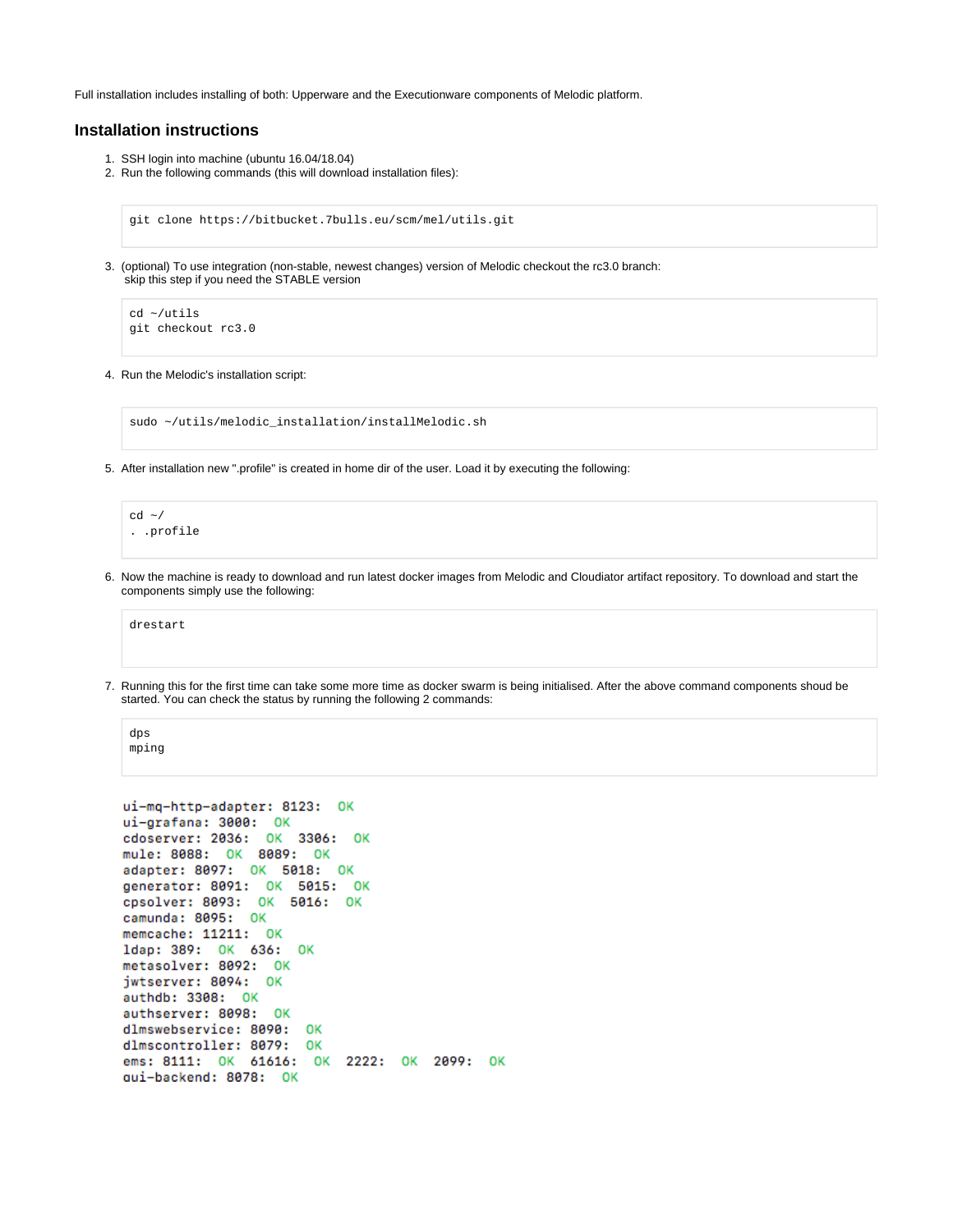Full installation includes installing of both: Upperware and the Executionware components of Melodic platform.

#### <span id="page-1-0"></span>**Installation instructions**

- 1. SSH login into machine (ubuntu 16.04/18.04)
- 2. Run the following commands (this will download installation files):

git clone https://bitbucket.7bulls.eu/scm/mel/utils.git

3. (optional) To use integration (non-stable, newest changes) version of Melodic checkout the rc3.0 branch: skip this step if you need the STABLE version

```
cd ~/utils
git checkout rc3.0
```
4. Run the Melodic's installation script:

sudo ~/utils/melodic\_installation/installMelodic.sh

5. After installation new ".profile" is created in home dir of the user. Load it by executing the following:

```
cd \sim/. .profile
```
6. Now the machine is ready to download and run latest docker images from Melodic and Cloudiator artifact repository. To download and start the components simply use the following:

drestart

7. Running this for the first time can take some more time as docker swarm is being initialised. After the above command components shoud be started. You can check the status by running the following 2 commands:

```
dps
mping
```

```
ui-mq-http-adapter: 8123: OK
ui-grafana: 3000: OK
cdoserver: 2036: OK 3306: OK
mule: 8088: OK 8089:
                     OK
adapter: 8097: OK 5018: OK
generator: 8091: OK 5015: OK
cpsolver: 8093: OK 5016: OK
camunda: 8095: OK
memcache: 11211: OK
ldap: 389: OK 636:
                    OK
metasolver: 8092: OK
jwtserver: 8094: OK
authdb: 3308: OK
authserver: 8098: OK
dlmswebservice: 8090: OK
dlmscontroller: 8079: OK
ems: 8111: OK 61616: OK 2222: OK 2099: OK
qui-backend: 8078: OK
```